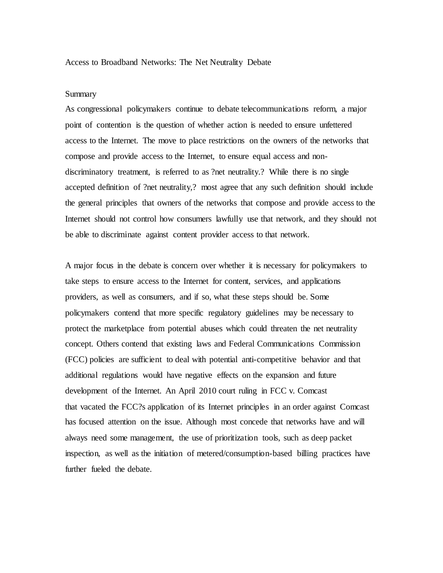## Access to Broadband Networks: The Net Neutrality Debate

## Summary

As congressional policymakers continue to debate telecommunications reform, a major point of contention is the question of whether action is needed to ensure unfettered access to the Internet. The move to place restrictions on the owners of the networks that compose and provide access to the Internet, to ensure equal access and nondiscriminatory treatment, is referred to as ?net neutrality.? While there is no single accepted definition of ?net neutrality,? most agree that any such definition should include the general principles that owners of the networks that compose and provide access to the Internet should not control how consumers lawfully use that network, and they should not be able to discriminate against content provider access to that network.

A major focus in the debate is concern over whether it is necessary for policymakers to take steps to ensure access to the Internet for content, services, and applications providers, as well as consumers, and if so, what these steps should be. Some policymakers contend that more specific regulatory guidelines may be necessary to protect the marketplace from potential abuses which could threaten the net neutrality concept. Others contend that existing laws and Federal Communications Commission (FCC) policies are sufficient to deal with potential anti-competitive behavior and that additional regulations would have negative effects on the expansion and future development of the Internet. An April 2010 court ruling in FCC v. Comcast that vacated the FCC?s application of its Internet principles in an order against Comcast has focused attention on the issue. Although most concede that networks have and will always need some management, the use of prioritization tools, such as deep packet inspection, as well as the initiation of metered/consumption-based billing practices have further fueled the debate.